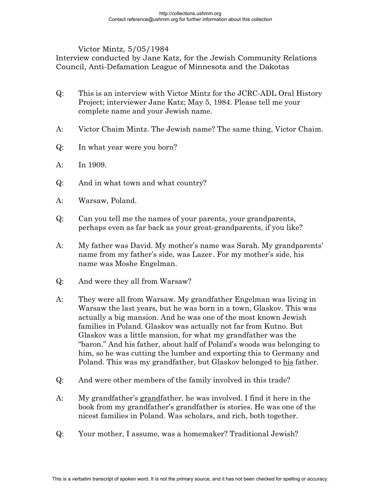Victor Mintz, 5/05/1984

Interview conducted by Jane Katz, for the Jewish Community Relations Council, Anti-Defamation League of Minnesota and the Dakotas

- Q: This is an interview with Victor Mintz for the JCRC-ADL Oral History Project; interviewer Jane Katz; May 5, 1984. Please tell me your complete name and your Jewish name.
- A: Victor Chaim Mintz. The Jewish name? The same thing, Victor Chaim.
- Q: In what year were you born?
- A: In 1909.
- Q: And in what town and what country?
- A: Warsaw, Poland.
- Q: Can you tell me the names of your parents, your grandparents, perhaps even as far back as your great-grandparents, if you like?
- A: My father was David. My mother's name was Sarah. My grandparents' name from my father's side, was Lazer . For my mother's side, his name was Moshe Engelman.
- Q: And were they all from Warsaw?
- A: They were all from Warsaw. My grandfather Engelman was living in Warsaw the last years, but he was born in a town, Glaskov. This was actually a big mansion. And he was one of the most known Jewish families in Poland. Glaskov was actually not far from Kutno. But Glaskov was a little mansion, for what my grandfather was the "baron." And his father, about half of Poland's woods was belonging to him, so he was cutting the lumber and exporting this to Germany and Poland. This was my grandfather, but Glaskov belonged to his father.
- Q: And were other members of the family involved in this trade?
- A: My grandfather's grandfather, he was involved. I find it here in the book from my grandfather's grandfather is stories. He was one of the nicest families in Poland. Was scholars, and rich, both together.
- Q: Your mother, I assume, was a homemaker? Traditional Jewish?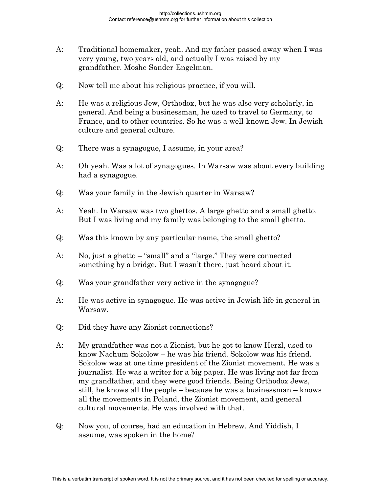- A: Traditional homemaker, yeah. And my father passed away when I was very young, two years old, and actually I was raised by my grandfather. Moshe Sander Engelman.
- Q: Now tell me about his religious practice, if you will.
- A: He was a religious Jew, Orthodox, but he was also very scholarly, in general. And being a businessman, he used to travel to Germany, to France, and to other countries. So he was a well-known Jew. In Jewish culture and general culture.
- Q: There was a synagogue, I assume, in your area?
- A: Oh yeah. Was a lot of synagogues. In Warsaw was about every building had a synagogue.
- Q: Was your family in the Jewish quarter in Warsaw?
- A: Yeah. In Warsaw was two ghettos. A large ghetto and a small ghetto. But I was living and my family was belonging to the small ghetto.
- Q: Was this known by any particular name, the small ghetto?
- A: No, just a ghetto "small" and a "large." They were connected something by a bridge. But I wasn't there, just heard about it.
- Q: Was your grandfather very active in the synagogue?
- A: He was active in synagogue. He was active in Jewish life in general in Warsaw.
- Q: Did they have any Zionist connections?
- A: My grandfather was not a Zionist, but he got to know Herzl, used to know Nachum Sokolow – he was his friend. Sokolow was his friend. Sokolow was at one time president of the Zionist movement. He was a journalist. He was a writer for a big paper. He was living not far from my grandfather, and they were good friends. Being Orthodox Jews, still, he knows all the people – because he was a businessman – knows all the movements in Poland, the Zionist movement, and general cultural movements. He was involved with that.
- Q: Now you, of course, had an education in Hebrew. And Yiddish, I assume, was spoken in the home?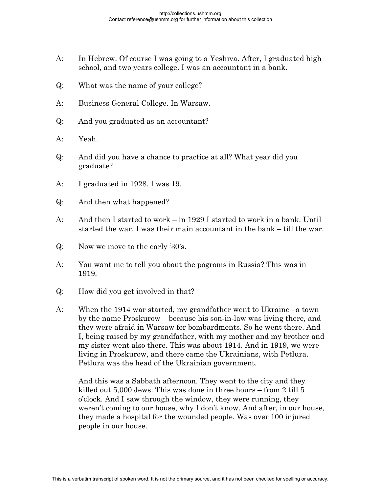- A: In Hebrew. Of course I was going to a Yeshiva. After, I graduated high school, and two years college. I was an accountant in a bank.
- Q: What was the name of your college?
- A: Business General College. In Warsaw.
- Q: And you graduated as an accountant?
- A: Yeah.
- Q: And did you have a chance to practice at all? What year did you graduate?
- A: I graduated in 1928. I was 19.
- Q: And then what happened?
- A: And then I started to work in 1929 I started to work in a bank. Until started the war. I was their main accountant in the bank – till the war.
- Q: Now we move to the early '30's.
- A: You want me to tell you about the pogroms in Russia? This was in 1919.
- Q: How did you get involved in that?
- A: When the 1914 war started, my grandfather went to Ukraine –a town by the name Proskurow – because his son-in-law was living there, and they were afraid in Warsaw for bombardments. So he went there. And I, being raised by my grandfather, with my mother and my brother and my sister went also there. This was about 1914. And in 1919, we were living in Proskurow, and there came the Ukrainians, with Petlura. Petlura was the head of the Ukrainian government.

 And this was a Sabbath afternoon. They went to the city and they killed out 5,000 Jews. This was done in three hours – from 2 till 5 o'clock. And I saw through the window, they were running, they weren't coming to our house, why I don't know. And after, in our house, they made a hospital for the wounded people. Was over 100 injured people in our house.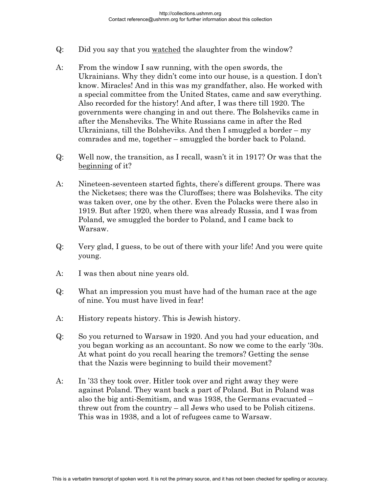- Q: Did you say that you watched the slaughter from the window?
- A: From the window I saw running, with the open swords, the Ukrainians. Why they didn't come into our house, is a question. I don't know. Miracles! And in this was my grandfather, also. He worked with a special committee from the United States, came and saw everything. Also recorded for the history! And after, I was there till 1920. The governments were changing in and out there. The Bolsheviks came in after the Mensheviks. The White Russians came in after the Red Ukrainians, till the Bolsheviks. And then I smuggled a border – my comrades and me, together – smuggled the border back to Poland.
- Q: Well now, the transition, as I recall, wasn't it in 1917? Or was that the beginning of it?
- A: Nineteen-seventeen started fights, there's different groups. There was the Nicketses; there was the Cluroffses; there was Bolsheviks. The city was taken over, one by the other. Even the Polacks were there also in 1919. But after 1920, when there was already Russia, and I was from Poland, we smuggled the border to Poland, and I came back to Warsaw.
- Q: Very glad, I guess, to be out of there with your life! And you were quite young.
- A: I was then about nine years old.
- Q: What an impression you must have had of the human race at the age of nine. You must have lived in fear!
- A: History repeats history. This is Jewish history.
- Q: So you returned to Warsaw in 1920. And you had your education, and you began working as an accountant. So now we come to the early '30s. At what point do you recall hearing the tremors? Getting the sense that the Nazis were beginning to build their movement?
- A: In '33 they took over. Hitler took over and right away they were against Poland. They want back a part of Poland. But in Poland was also the big anti-Semitism, and was 1938, the Germans evacuated – threw out from the country – all Jews who used to be Polish citizens. This was in 1938, and a lot of refugees came to Warsaw.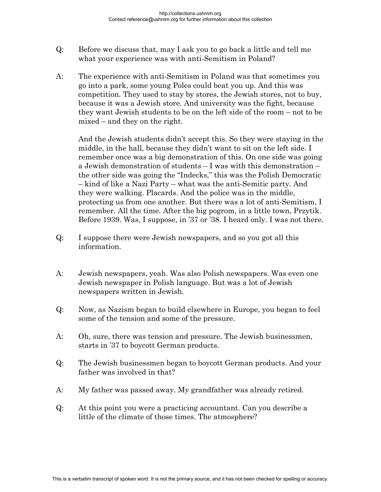- Q: Before we discuss that, may I ask you to go back a little and tell me what your experience was with anti-Semitism in Poland?
- A: The experience with anti-Semitism in Poland was that sometimes you go into a park, some young Poles could beat you up. And this was competition. They used to stay by stores, the Jewish stores, not to buy, because it was a Jewish store. And university was the fight, because they want Jewish students to be on the left side of the room – not to be mixed – and they on the right.

 And the Jewish students didn't accept this. So they were staying in the middle, in the hall, because they didn't want to sit on the left side. I remember once was a big demonstration of this. On one side was going a Jewish demonstration of students – I was with this demonstration – the other side was going the "Indecks," this was the Polish Democratic – kind of like a Nazi Party – what was the anti-Semitic party. And they were walking. Placards. And the police was in the middle, protecting us from one another. But there was a lot of anti-Semitism, I remember. All the time. After the big pogrom, in a little town, Przytik. Before 1939. Was, I suppose, in '37 or '38. I heard only. I was not there.

- Q: I suppose there were Jewish newspapers, and so you got all this information.
- A: Jewish newspapers, yeah. Was also Polish newspapers. Was even one Jewish newspaper in Polish language. But was a lot of Jewish newspapers written in Jewish.
- Q: Now, as Nazism began to build elsewhere in Europe, you began to feel some of the tension and some of the pressure.
- A: Oh, sure, there was tension and pressure. The Jewish businessmen, starts in '37 to boycott German products.
- Q: The Jewish businessmen began to boycott German products. And your father was involved in that?
- A: My father was passed away. My grandfather was already retired.
- Q: At this point you were a practicing accountant. Can you describe a little of the climate of those times. The atmosphere?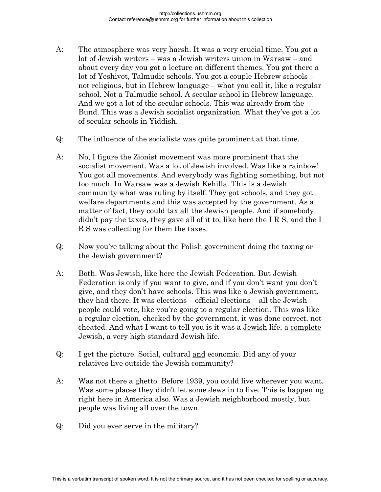- A: The atmosphere was very harsh. It was a very crucial time. You got a lot of Jewish writers – was a Jewish writers union in Warsaw – and about every day you got a lecture on different themes. You got there a lot of Yeshivot, Talmudic schools. You got a couple Hebrew schools – not religious, but in Hebrew language – what you call it, like a regular school. Not a Talmudic school. A secular school in Hebrew language. And we got a lot of the secular schools. This was already from the Bund. This was a Jewish socialist organization. What they've got a lot of secular schools in Yiddish.
- Q: The influence of the socialists was quite prominent at that time.
- A: No, I figure the Zionist movement was more prominent that the socialist movement. Was a lot of Jewish involved. Was like a rainbow! You got all movements. And everybody was fighting something, but not too much. In Warsaw was a Jewish Kehilla. This is a Jewish community what was ruling by itself. They got schools, and they got welfare departments and this was accepted by the government. As a matter of fact, they could tax all the Jewish people. And if somebody didn't pay the taxes, they gave all of it to, like here the I R S, and the I R S was collecting for them the taxes.
- Q: Now you're talking about the Polish government doing the taxing or the Jewish government?
- A: Both. Was Jewish, like here the Jewish Federation. But Jewish Federation is only if you want to give, and if you don't want you don't give, and they don't have schools. This was like a Jewish government, they had there. It was elections – official elections – all the Jewish people could vote, like you're going to a regular election. This was like a regular election, checked by the government, it was done correct, not cheated. And what I want to tell you is it was a Jewish life, a complete Jewish, a very high standard Jewish life.
- Q: I get the picture. Social, cultural and economic. Did any of your relatives live outside the Jewish community?
- A: Was not there a ghetto. Before 1939, you could live wherever you want. Was some places they didn't let some Jews in to live. This is happening right here in America also. Was a Jewish neighborhood mostly, but people was living all over the town.
- Q: Did you ever serve in the military?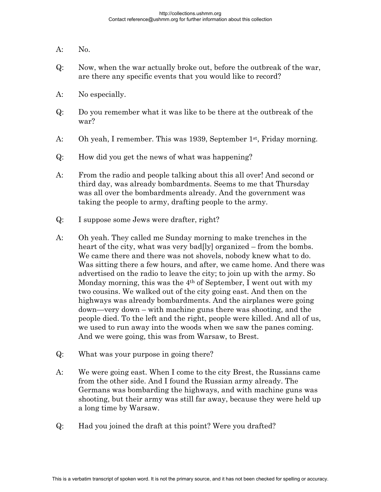- A: No.
- Q: Now, when the war actually broke out, before the outbreak of the war, are there any specific events that you would like to record?
- A: No especially.
- Q: Do you remember what it was like to be there at the outbreak of the war?
- A: Oh yeah, I remember. This was 1939, September 1<sup>st</sup>, Friday morning.
- Q: How did you get the news of what was happening?
- A: From the radio and people talking about this all over! And second or third day, was already bombardments. Seems to me that Thursday was all over the bombardments already. And the government was taking the people to army, drafting people to the army.
- Q: I suppose some Jews were drafter, right?
- A: Oh yeah. They called me Sunday morning to make trenches in the heart of the city, what was very bad[ly] organized – from the bombs. We came there and there was not shovels, nobody knew what to do. Was sitting there a few hours, and after, we came home. And there was advertised on the radio to leave the city; to join up with the army. So Monday morning, this was the 4th of September, I went out with my two cousins. We walked out of the city going east. And then on the highways was already bombardments. And the airplanes were going down—very down – with machine guns there was shooting, and the people died. To the left and the right, people were killed. And all of us, we used to run away into the woods when we saw the panes coming. And we were going, this was from Warsaw, to Brest.
- Q: What was your purpose in going there?
- A: We were going east. When I come to the city Brest, the Russians came from the other side. And I found the Russian army already. The Germans was bombarding the highways, and with machine guns was shooting, but their army was still far away, because they were held up a long time by Warsaw.
- Q: Had you joined the draft at this point? Were you drafted?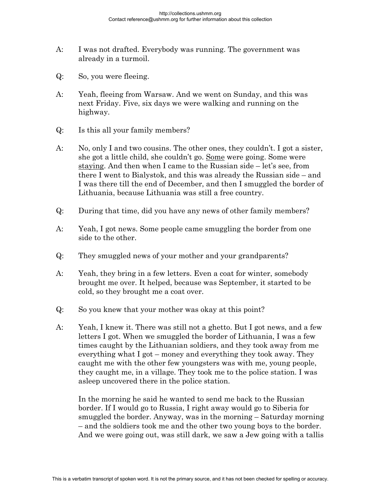- A: I was not drafted. Everybody was running. The government was already in a turmoil.
- Q: So, you were fleeing.
- A: Yeah, fleeing from Warsaw. And we went on Sunday, and this was next Friday. Five, six days we were walking and running on the highway.
- Q: Is this all your family members?
- A: No, only I and two cousins. The other ones, they couldn't. I got a sister, she got a little child, she couldn't go. Some were going. Some were staying. And then when I came to the Russian side – let's see, from there I went to Bialystok, and this was already the Russian side – and I was there till the end of December, and then I smuggled the border of Lithuania, because Lithuania was still a free country.
- Q: During that time, did you have any news of other family members?
- A: Yeah, I got news. Some people came smuggling the border from one side to the other.
- Q: They smuggled news of your mother and your grandparents?
- A: Yeah, they bring in a few letters. Even a coat for winter, somebody brought me over. It helped, because was September, it started to be cold, so they brought me a coat over.
- Q: So you knew that your mother was okay at this point?
- A: Yeah, I knew it. There was still not a ghetto. But I got news, and a few letters I got. When we smuggled the border of Lithuania, I was a few times caught by the Lithuanian soldiers, and they took away from me everything what I got – money and everything they took away. They caught me with the other few youngsters was with me, young people, they caught me, in a village. They took me to the police station. I was asleep uncovered there in the police station.

 In the morning he said he wanted to send me back to the Russian border. If I would go to Russia, I right away would go to Siberia for smuggled the border. Anyway, was in the morning – Saturday morning – and the soldiers took me and the other two young boys to the border. And we were going out, was still dark, we saw a Jew going with a tallis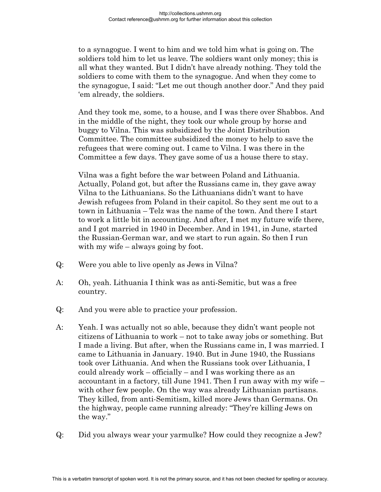to a synagogue. I went to him and we told him what is going on. The soldiers told him to let us leave. The soldiers want only money; this is all what they wanted. But I didn't have already nothing. They told the soldiers to come with them to the synagogue. And when they come to the synagogue, I said: "Let me out though another door." And they paid 'em already, the soldiers.

 And they took me, some, to a house, and I was there over Shabbos. And in the middle of the night, they took our whole group by horse and buggy to Vilna. This was subsidized by the Joint Distribution Committee. The committee subsidized the money to help to save the refugees that were coming out. I came to Vilna. I was there in the Committee a few days. They gave some of us a house there to stay.

 Vilna was a fight before the war between Poland and Lithuania. Actually, Poland got, but after the Russians came in, they gave away Vilna to the Lithuanians. So the Lithuanians didn't want to have Jewish refugees from Poland in their capitol. So they sent me out to a town in Lithuania – Telz was the name of the town. And there I start to work a little bit in accounting. And after, I met my future wife there, and I got married in 1940 in December. And in 1941, in June, started the Russian-German war, and we start to run again. So then I run with my wife – always going by foot.

- Q: Were you able to live openly as Jews in Vilna?
- A: Oh, yeah. Lithuania I think was as anti-Semitic, but was a free country.
- Q: And you were able to practice your profession.
- A: Yeah. I was actually not so able, because they didn't want people not citizens of Lithuania to work – not to take away jobs or something. But I made a living. But after, when the Russians came in, I was married. I came to Lithuania in January. 1940. But in June 1940, the Russians took over Lithuania. And when the Russians took over Lithuania, I could already work – officially – and I was working there as an accountant in a factory, till June 1941. Then I run away with my wife – with other few people. On the way was already Lithuanian partisans. They killed, from anti-Semitism, killed more Jews than Germans. On the highway, people came running already: "They're killing Jews on the way."
- Q: Did you always wear your yarmulke? How could they recognize a Jew?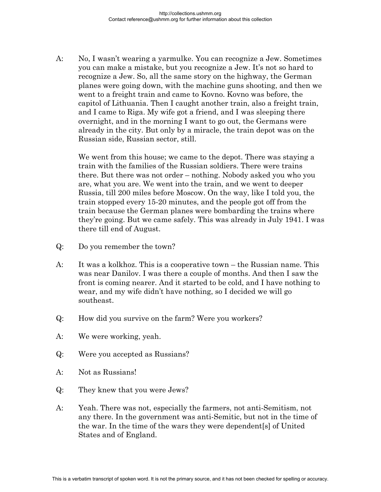A: No, I wasn't wearing a yarmulke. You can recognize a Jew. Sometimes you can make a mistake, but you recognize a Jew. It's not so hard to recognize a Jew. So, all the same story on the highway, the German planes were going down, with the machine guns shooting, and then we went to a freight train and came to Kovno. Kovno was before, the capitol of Lithuania. Then I caught another train, also a freight train, and I came to Riga. My wife got a friend, and I was sleeping there overnight, and in the morning I want to go out, the Germans were already in the city. But only by a miracle, the train depot was on the Russian side, Russian sector, still.

 We went from this house; we came to the depot. There was staying a train with the families of the Russian soldiers. There were trains there. But there was not order – nothing. Nobody asked you who you are, what you are. We went into the train, and we went to deeper Russia, till 200 miles before Moscow. On the way, like I told you, the train stopped every 15-20 minutes, and the people got off from the train because the German planes were bombarding the trains where they're going. But we came safely. This was already in July 1941. I was there till end of August.

- Q: Do you remember the town?
- A: It was a kolkhoz. This is a cooperative town the Russian name. This was near Danilov. I was there a couple of months. And then I saw the front is coming nearer. And it started to be cold, and I have nothing to wear, and my wife didn't have nothing, so I decided we will go southeast.
- Q: How did you survive on the farm? Were you workers?
- A: We were working, yeah.
- Q: Were you accepted as Russians?
- A: Not as Russians!
- Q: They knew that you were Jews?
- A: Yeah. There was not, especially the farmers, not anti-Semitism, not any there. In the government was anti-Semitic, but not in the time of the war. In the time of the wars they were dependent[s] of United States and of England.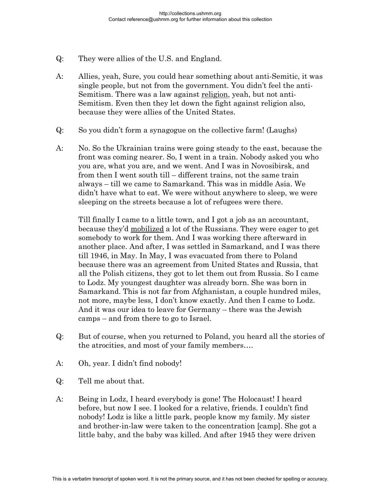- Q: They were allies of the U.S. and England.
- A: Allies, yeah, Sure, you could hear something about anti-Semitic, it was single people, but not from the government. You didn't feel the anti-Semitism. There was a law against religion, yeah, but not anti-Semitism. Even then they let down the fight against religion also, because they were allies of the United States.
- Q: So you didn't form a synagogue on the collective farm! (Laughs)
- A: No. So the Ukrainian trains were going steady to the east, because the front was coming nearer. So, I went in a train. Nobody asked you who you are, what you are, and we went. And I was in Novosibirsk, and from then I went south till – different trains, not the same train always – till we came to Samarkand. This was in middle Asia. We didn't have what to eat. We were without anywhere to sleep, we were sleeping on the streets because a lot of refugees were there.

 Till finally I came to a little town, and I got a job as an accountant, because they'd mobilized a lot of the Russians. They were eager to get somebody to work for them. And I was working there afterward in another place. And after, I was settled in Samarkand, and I was there till 1946, in May. In May, I was evacuated from there to Poland because there was an agreement from United States and Russia, that all the Polish citizens, they got to let them out from Russia. So I came to Lodz. My youngest daughter was already born. She was born in Samarkand. This is not far from Afghanistan, a couple hundred miles, not more, maybe less, I don't know exactly. And then I came to Lodz. And it was our idea to leave for Germany – there was the Jewish camps – and from there to go to Israel.

- Q: But of course, when you returned to Poland, you heard all the stories of the atrocities, and most of your family members….
- A: Oh, year. I didn't find nobody!
- Q: Tell me about that.
- A: Being in Lodz, I heard everybody is gone! The Holocaust! I heard before, but now I see. I looked for a relative, friends. I couldn't find nobody! Lodz is like a little park, people know my family. My sister and brother-in-law were taken to the concentration [camp]. She got a little baby, and the baby was killed. And after 1945 they were driven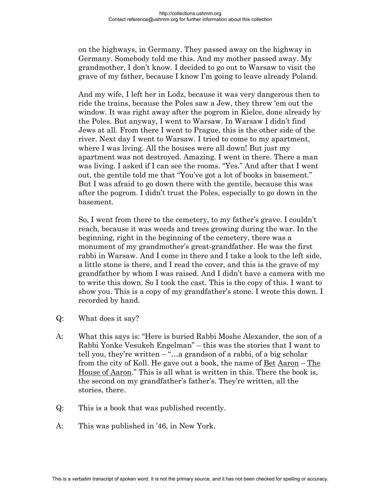on the highways, in Germany. They passed away on the highway in Germany. Somebody told me this. And my mother passed away. My grandmother, I don't know. I decided to go out to Warsaw to visit the grave of my father, because I know I'm going to leave already Poland.

 And my wife, I left her in Lodz, because it was very dangerous then to ride the trains, because the Poles saw a Jew, they threw 'em out the window. It was right away after the pogrom in Kielce, done already by the Poles. But anyway, I went to Warsaw. In Warsaw I didn't find Jews at all. From there I went to Prague, this is the other side of the river. Next day I went to Warsaw. I tried to come to my apartment, where I was living. All the houses were all down! But just my apartment was not destroyed. Amazing. I went in there. There a man was living. I asked if I can see the rooms. "Yes." And after that I went out, the gentile told me that "You've got a lot of books in basement." But I was afraid to go down there with the gentile, because this was after the pogrom. I didn't trust the Poles, especially to go down in the basement.

 So, I went from there to the cemetery, to my father's grave. I couldn't reach, because it was weeds and trees growing during the war. In the beginning, right in the beginning of the cemetery, there was a monument of my grandmother's great-grandfather. He was the first rabbi in Warsaw. And I come in there and I take a look to the left side, a little stone is there, and I read the cover, and this is the grave of my grandfather by whom I was raised. And I didn't have a camera with me to write this down. So I took the cast. This is the copy of this. I want to show you. This is a copy of my grandfather's stone. I wrote this down. I recorded by hand.

- Q: What does it say?
- A: What this says is: "Here is buried Rabbi Moshe Alexander, the son of a Rabbi Yonke Vesukeh Engelman" – this was the stories that I want to tell you, they're written  $-\tilde{\ }$ "...a grandson of a rabbi, of a big scholar from the city of Koll. He gave out a book, the name of Bet Aaron – The House of Aaron." This is all what is written in this. There the book is, the second on my grandfather's father's. They're written, all the stories, there.
- Q: This is a book that was published recently.
- A: This was published in '46, in New York.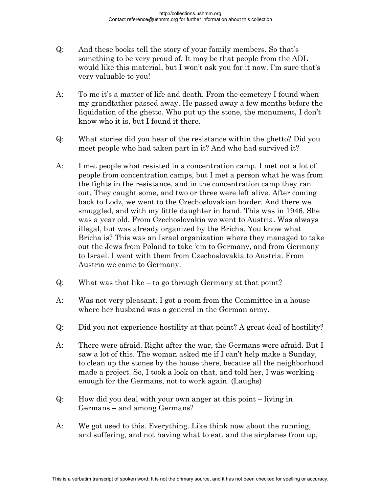- Q: And these books tell the story of your family members. So that's something to be very proud of. It may be that people from the ADL would like this material, but I won't ask you for it now. I'm sure that's very valuable to you!
- A: To me it's a matter of life and death. From the cemetery I found when my grandfather passed away. He passed away a few months before the liquidation of the ghetto. Who put up the stone, the monument, I don't know who it is, but I found it there.
- Q: What stories did you hear of the resistance within the ghetto? Did you meet people who had taken part in it? And who had survived it?
- A: I met people what resisted in a concentration camp. I met not a lot of people from concentration camps, but I met a person what he was from the fights in the resistance, and in the concentration camp they ran out. They caught some, and two or three were left alive. After coming back to Lodz, we went to the Czechoslovakian border. And there we smuggled, and with my little daughter in hand. This was in 1946. She was a year old. From Czechoslovakia we went to Austria. Was always illegal, but was already organized by the Bricha. You know what Bricha is? This was an Israel organization where they managed to take out the Jews from Poland to take 'em to Germany, and from Germany to Israel. I went with them from Czechoslovakia to Austria. From Austria we came to Germany.
- Q: What was that like to go through Germany at that point?
- A: Was not very pleasant. I got a room from the Committee in a house where her husband was a general in the German army.
- Q: Did you not experience hostility at that point? A great deal of hostility?
- A: There were afraid. Right after the war, the Germans were afraid. But I saw a lot of this. The woman asked me if I can't help make a Sunday, to clean up the stones by the house there, because all the neighborhood made a project. So, I took a look on that, and told her, I was working enough for the Germans, not to work again. (Laughs)
- Q: How did you deal with your own anger at this point living in Germans – and among Germans?
- A: We got used to this. Everything. Like think now about the running, and suffering, and not having what to eat, and the airplanes from up,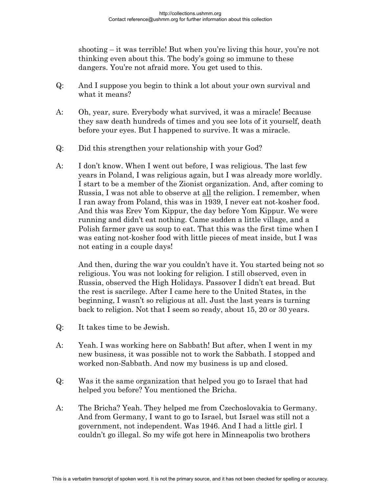shooting – it was terrible! But when you're living this hour, you're not thinking even about this. The body's going so immune to these dangers. You're not afraid more. You get used to this.

- Q: And I suppose you begin to think a lot about your own survival and what it means?
- A: Oh, year, sure. Everybody what survived, it was a miracle! Because they saw death hundreds of times and you see lots of it yourself, death before your eyes. But I happened to survive. It was a miracle.
- Q: Did this strengthen your relationship with your God?
- A: I don't know. When I went out before, I was religious. The last few years in Poland, I was religious again, but I was already more worldly. I start to be a member of the Zionist organization. And, after coming to Russia, I was not able to observe at all the religion. I remember, when I ran away from Poland, this was in 1939, I never eat not-kosher food. And this was Erev Yom Kippur, the day before Yom Kippur. We were running and didn't eat nothing. Came sudden a little village, and a Polish farmer gave us soup to eat. That this was the first time when I was eating not-kosher food with little pieces of meat inside, but I was not eating in a couple days!

 And then, during the war you couldn't have it. You started being not so religious. You was not looking for religion. I still observed, even in Russia, observed the High Holidays. Passover I didn't eat bread. But the rest is sacrilege. After I came here to the United States, in the beginning, I wasn't so religious at all. Just the last years is turning back to religion. Not that I seem so ready, about 15, 20 or 30 years.

- Q: It takes time to be Jewish.
- A: Yeah. I was working here on Sabbath! But after, when I went in my new business, it was possible not to work the Sabbath. I stopped and worked non-Sabbath. And now my business is up and closed.
- Q: Was it the same organization that helped you go to Israel that had helped you before? You mentioned the Bricha.
- A: The Bricha? Yeah. They helped me from Czechoslovakia to Germany. And from Germany, I want to go to Israel, but Israel was still not a government, not independent. Was 1946. And I had a little girl. I couldn't go illegal. So my wife got here in Minneapolis two brothers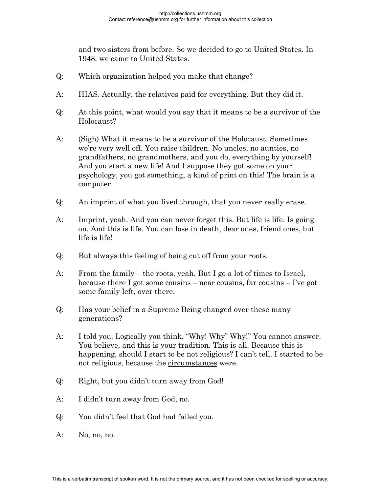and two sisters from before. So we decided to go to United States. In 1948, we came to United States.

- Q: Which organization helped you make that change?
- A: HIAS. Actually, the relatives paid for everything. But they did it.
- Q: At this point, what would you say that it means to be a survivor of the Holocaust?
- A: (Sigh) What it means to be a survivor of the Holocaust. Sometimes we're very well off. You raise children. No uncles, no aunties, no grandfathers, no grandmothers, and you do, everything by yourself! And you start a new life! And I suppose they got some on your psychology, you got something, a kind of print on this! The brain is a computer.
- Q: An imprint of what you lived through, that you never really erase.
- A: Imprint, yeah. And you can never forget this. But life is life. Is going on. And this is life. You can lose in death, dear ones, friend ones, but life is life!
- Q: But always this feeling of being cut off from your roots.
- A: From the family the roots, yeah. But I go a lot of times to Israel, because there I got some cousins – near cousins, far cousins – I've got some family left, over there.
- Q: Has your belief in a Supreme Being changed over these many generations?
- A: I told you. Logically you think, "Why! Why" Why!" You cannot answer. You believe, and this is your tradition. This is all. Because this is happening, should I start to be not religious? I can't tell. I started to be not religious, because the circumstances were.
- Q: Right, but you didn't turn away from God!
- A: I didn't turn away from God, no.
- Q: You didn't feel that God had failed you.
- A: No, no, no.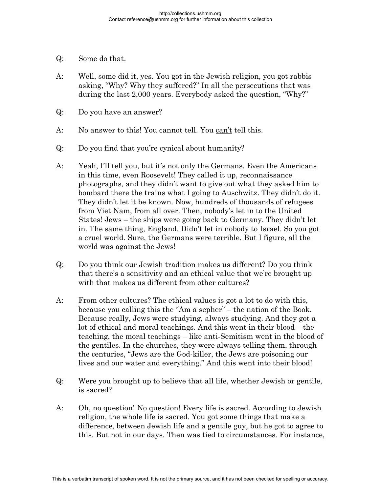- Q: Some do that.
- A: Well, some did it, yes. You got in the Jewish religion, you got rabbis asking, "Why? Why they suffered?" In all the persecutions that was during the last 2,000 years. Everybody asked the question, "Why?"
- Q: Do you have an answer?
- A: No answer to this! You cannot tell. You can't tell this.
- Q: Do you find that you're cynical about humanity?
- A: Yeah, I'll tell you, but it's not only the Germans. Even the Americans in this time, even Roosevelt! They called it up, reconnaissance photographs, and they didn't want to give out what they asked him to bombard there the trains what I going to Auschwitz. They didn't do it. They didn't let it be known. Now, hundreds of thousands of refugees from Viet Nam, from all over. Then, nobody's let in to the United States! Jews – the ships were going back to Germany. They didn't let in. The same thing, England. Didn't let in nobody to Israel. So you got a cruel world. Sure, the Germans were terrible. But I figure, all the world was against the Jews!
- Q: Do you think our Jewish tradition makes us different? Do you think that there's a sensitivity and an ethical value that we're brought up with that makes us different from other cultures?
- A: From other cultures? The ethical values is got a lot to do with this, because you calling this the "Am a sepher" – the nation of the Book. Because really, Jews were studying, always studying. And they got a lot of ethical and moral teachings. And this went in their blood – the teaching, the moral teachings – like anti-Semitism went in the blood of the gentiles. In the churches, they were always telling them, through the centuries, "Jews are the God-killer, the Jews are poisoning our lives and our water and everything." And this went into their blood!
- Q: Were you brought up to believe that all life, whether Jewish or gentile, is sacred?
- A: Oh, no question! No question! Every life is sacred. According to Jewish religion, the whole life is sacred. You got some things that make a difference, between Jewish life and a gentile guy, but he got to agree to this. But not in our days. Then was tied to circumstances. For instance,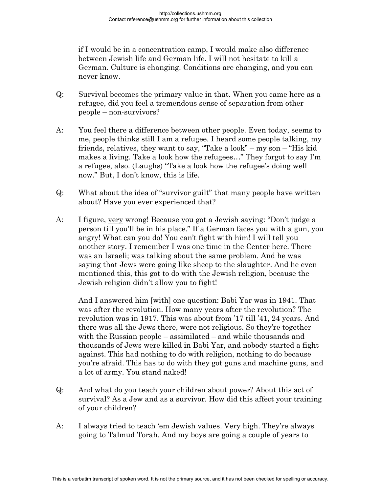if I would be in a concentration camp, I would make also difference between Jewish life and German life. I will not hesitate to kill a German. Culture is changing. Conditions are changing, and you can never know.

- Q: Survival becomes the primary value in that. When you came here as a refugee, did you feel a tremendous sense of separation from other people – non-survivors?
- A: You feel there a difference between other people. Even today, seems to me, people thinks still I am a refugee. I heard some people talking, my friends, relatives, they want to say, "Take a look" – my son – "His kid makes a living. Take a look how the refugees…" They forgot to say I'm a refugee, also. (Laughs) "Take a look how the refugee's doing well now." But, I don't know, this is life.
- Q: What about the idea of "survivor guilt" that many people have written about? Have you ever experienced that?
- A: I figure, very wrong! Because you got a Jewish saying: "Don't judge a person till you'll be in his place." If a German faces you with a gun, you angry! What can you do! You can't fight with him! I will tell you another story. I remember I was one time in the Center here. There was an Israeli; was talking about the same problem. And he was saying that Jews were going like sheep to the slaughter. And he even mentioned this, this got to do with the Jewish religion, because the Jewish religion didn't allow you to fight!

 And I answered him [with] one question: Babi Yar was in 1941. That was after the revolution. How many years after the revolution? The revolution was in 1917. This was about from '17 till '41, 24 years. And there was all the Jews there, were not religious. So they're together with the Russian people – assimilated – and while thousands and thousands of Jews were killed in Babi Yar, and nobody started a fight against. This had nothing to do with religion, nothing to do because you're afraid. This has to do with they got guns and machine guns, and a lot of army. You stand naked!

- Q: And what do you teach your children about power? About this act of survival? As a Jew and as a survivor. How did this affect your training of your children?
- A: I always tried to teach 'em Jewish values. Very high. They're always going to Talmud Torah. And my boys are going a couple of years to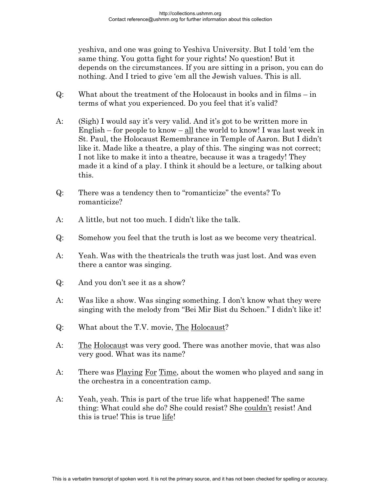yeshiva, and one was going to Yeshiva University. But I told 'em the same thing. You gotta fight for your rights! No question! But it depends on the circumstances. If you are sitting in a prison, you can do nothing. And I tried to give 'em all the Jewish values. This is all.

- Q: What about the treatment of the Holocaust in books and in films in terms of what you experienced. Do you feel that it's valid?
- A: (Sigh) I would say it's very valid. And it's got to be written more in English – for people to know – all the world to know! I was last week in St. Paul, the Holocaust Remembrance in Temple of Aaron. But I didn't like it. Made like a theatre, a play of this. The singing was not correct; I not like to make it into a theatre, because it was a tragedy! They made it a kind of a play. I think it should be a lecture, or talking about this.
- Q: There was a tendency then to "romanticize" the events? To romanticize?
- A: A little, but not too much. I didn't like the talk.
- Q: Somehow you feel that the truth is lost as we become very theatrical.
- A: Yeah. Was with the theatricals the truth was just lost. And was even there a cantor was singing.
- Q: And you don't see it as a show?
- A: Was like a show. Was singing something. I don't know what they were singing with the melody from "Bei Mir Bist du Schoen." I didn't like it!
- Q: What about the T.V. movie, The Holocaust?
- A: The Holocaust was very good. There was another movie, that was also very good. What was its name?
- A: There was <u>Playing For Time</u>, about the women who played and sang in the orchestra in a concentration camp.
- A: Yeah, yeah. This is part of the true life what happened! The same thing: What could she do? She could resist? She couldn't resist! And this is true! This is true life!